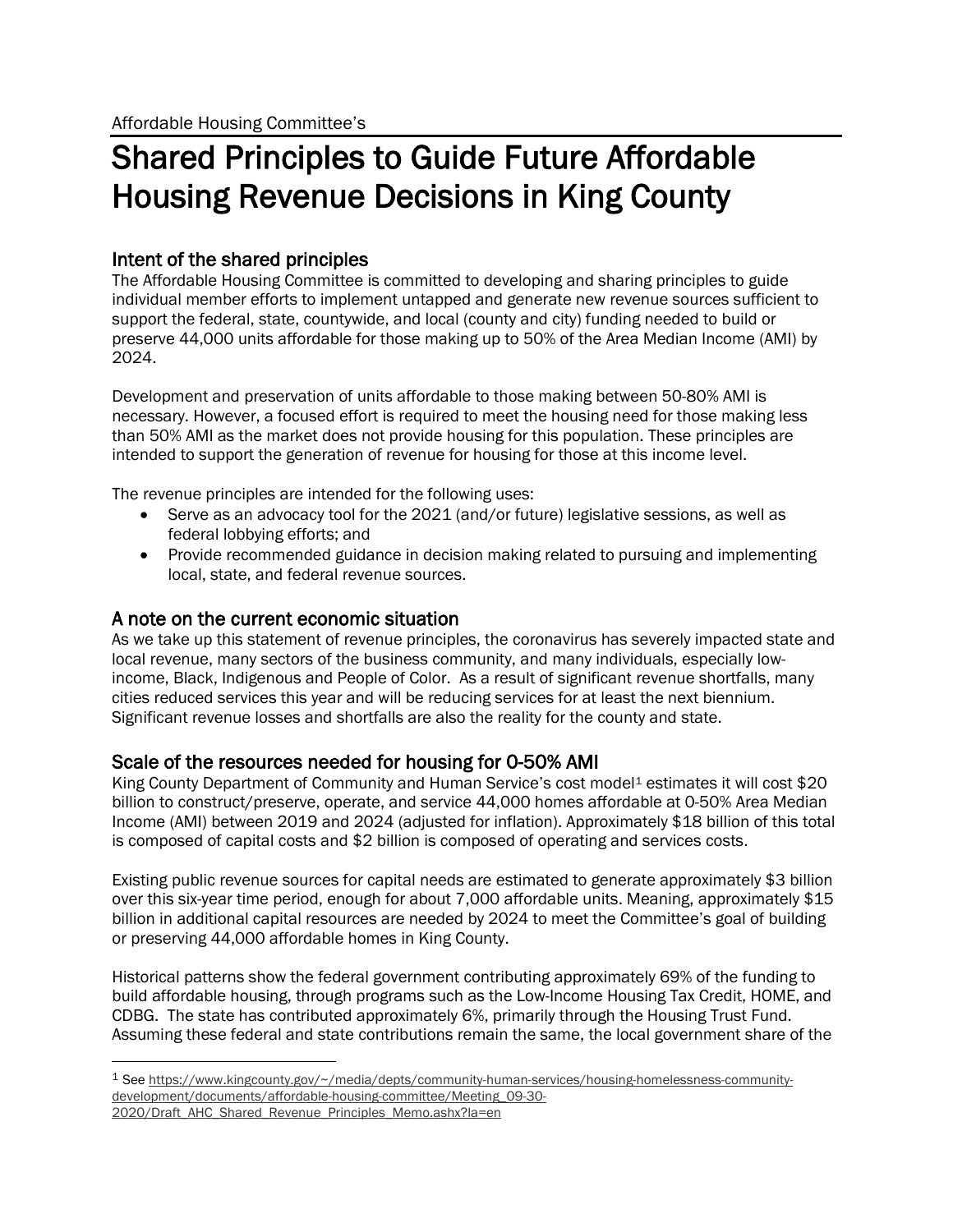# Shared Principles to Guide Future Affordable Housing Revenue Decisions in King County

### Intent of the shared principles

The Affordable Housing Committee is committed to developing and sharing principles to guide individual member efforts to implement untapped and generate new revenue sources sufficient to support the federal, state, countywide, and local (county and city) funding needed to build or preserve 44,000 units affordable for those making up to 50% of the Area Median Income (AMI) by 2024.

Development and preservation of units affordable to those making between 50-80% AMI is necessary. However, a focused effort is required to meet the housing need for those making less than 50% AMI as the market does not provide housing for this population. These principles are intended to support the generation of revenue for housing for those at this income level.

The revenue principles are intended for the following uses:

- Serve as an advocacy tool for the 2021 (and/or future) legislative sessions, as well as federal lobbying efforts; and
- Provide recommended guidance in decision making related to pursuing and implementing local, state, and federal revenue sources.

A note on the current economic situation<br>As we take up this statement of revenue principles, the coronavirus has severely impacted state and local revenue, many sectors of the business community, and many individuals, especially lowincome, Black, Indigenous and People of Color. As a result of significant revenue shortfalls, many cities reduced services this year and will be reducing services for at least the next biennium. Significant revenue losses and shortfalls are also the reality for the county and state.

Scale of the resources needed for housing for 0-50% AMI<br>King County Department of Community and Human Service's cost model<sup>1</sup> estimates it will cost \$20 billion to construct/preserve, operate, and service 44,000 homes affordable at 0-50% Area Median Income (AMI) between 2019 and 2024 (adjusted for inflation). Approximately \$18 billion of this total is composed of capital costs and \$2 billion is composed of operating and services costs.

Existing public revenue sources for capital needs are estimated to generate approximately \$3 billion over this six-year time period, enough for about 7,000 affordable units. Meaning, approximately \$15 billion in additional capital resources are needed by 2024 to meet the Committee's goal of building or preserving 44,000 affordable homes in King County.

Historical patterns show the federal government contributing approximately 69% of the funding to build affordable housing, through programs such as the Low-Income Housing Tax Credit, HOME, and CDBG. The state has contributed approximately 6%, primarily through the Housing Trust Fund. Assuming these federal and state contributions remain the same, the local government share of the

<span id="page-0-0"></span><sup>1</sup> Se[e https://www.kingcounty.gov/~/media/depts/community-human-services/housing-homelessness-community](https://www.kingcounty.gov/%7E/media/depts/community-human-services/housing-homelessness-community-development/documents/affordable-housing-committee/Meeting_09-30-2020/Draft_AHC_Shared_Revenue_Principles_Memo.ashx?la=en)[development/documents/affordable-housing-committee/Meeting\\_09-30-](https://www.kingcounty.gov/%7E/media/depts/community-human-services/housing-homelessness-community-development/documents/affordable-housing-committee/Meeting_09-30-2020/Draft_AHC_Shared_Revenue_Principles_Memo.ashx?la=en) [2020/Draft\\_AHC\\_Shared\\_Revenue\\_Principles\\_Memo.ashx?la=en](https://www.kingcounty.gov/%7E/media/depts/community-human-services/housing-homelessness-community-development/documents/affordable-housing-committee/Meeting_09-30-2020/Draft_AHC_Shared_Revenue_Principles_Memo.ashx?la=en)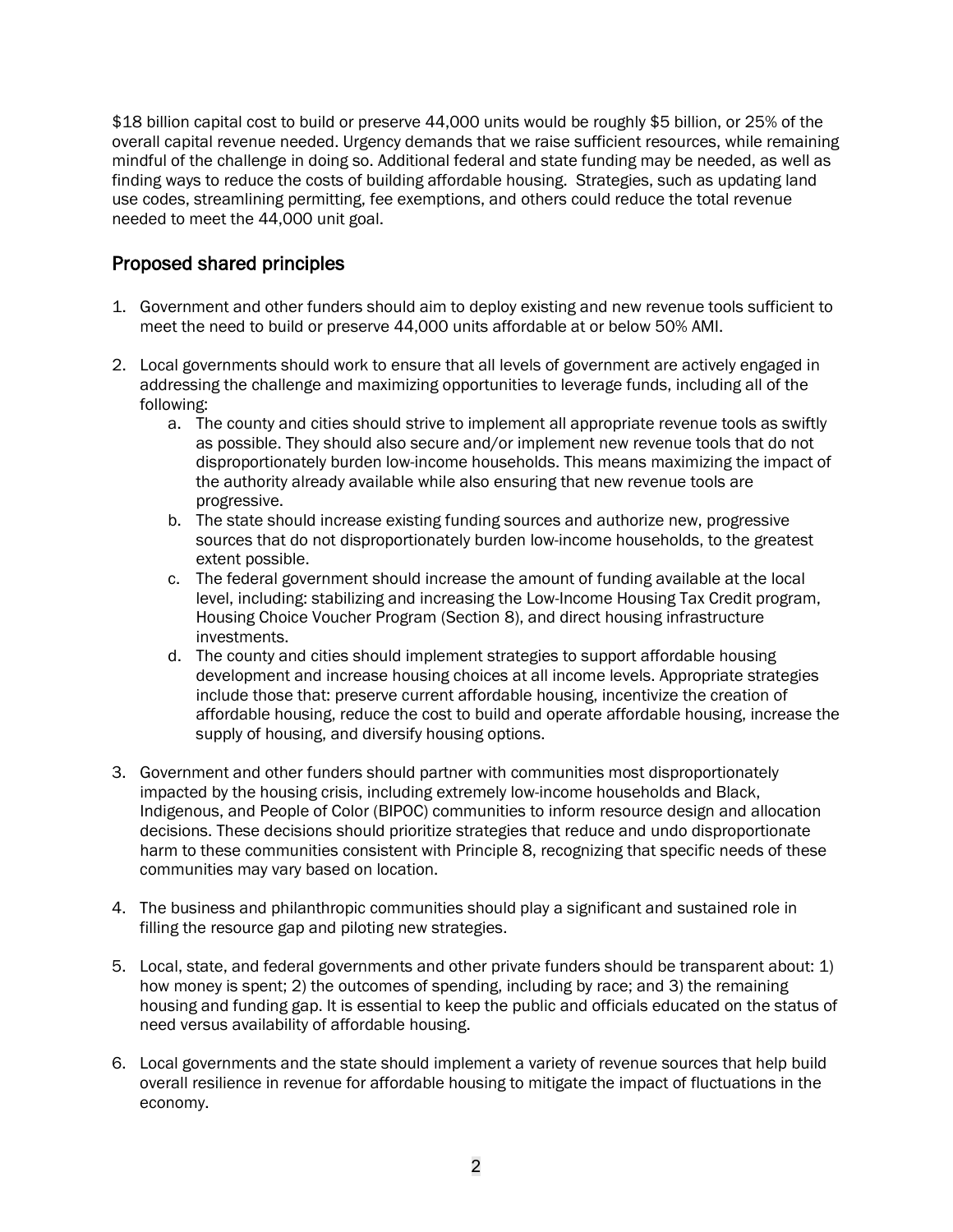\$18 billion capital cost to build or preserve 44,000 units would be roughly \$5 billion, or 25% of the overall capital revenue needed. Urgency demands that we raise sufficient resources, while remaining mindful of the challenge in doing so. Additional federal and state funding may be needed, as well as finding ways to reduce the costs of building affordable housing. Strategies, such as updating land use codes, streamlining permitting, fee exemptions, and others could reduce the total revenue needed to meet the 44,000 unit goal.

## Proposed shared principles

- 1. Government and other funders should aim to deploy existing and new revenue tools sufficient to meet the need to build or preserve 44,000 units affordable at or below 50% AMI.
- 2. Local governments should work to ensure that all levels of government are actively engaged in addressing the challenge and maximizing opportunities to leverage funds, including all of the following:
	- a. The county and cities should strive to implement all appropriate revenue tools as swiftly as possible. They should also secure and/or implement new revenue tools that do not disproportionately burden low-income households. This means maximizing the impact of the authority already available while also ensuring that new revenue tools are progressive.
	- b. The state should increase existing funding sources and authorize new, progressive sources that do not disproportionately burden low-income households, to the greatest extent possible.
	- c. The federal government should increase the amount of funding available at the local level, including: stabilizing and increasing the Low-Income Housing Tax Credit program, Housing Choice Voucher Program (Section 8), and direct housing infrastructure investments.
	- d. The county and cities should implement strategies to support affordable housing development and increase housing choices at all income levels. Appropriate strategies include those that: preserve current affordable housing, incentivize the creation of affordable housing, reduce the cost to build and operate affordable housing, increase the supply of housing, and diversify housing options.
- 3. Government and other funders should partner with communities most disproportionately impacted by the housing crisis, including extremely low-income households and Black, Indigenous, and People of Color (BIPOC) communities to inform resource design and allocation decisions. These decisions should prioritize strategies that reduce and undo disproportionate harm to these communities consistent with Principle 8, recognizing that specific needs of these communities may vary based on location.
- 4. The business and philanthropic communities should play a significant and sustained role in filling the resource gap and piloting new strategies.
- 5. Local, state, and federal governments and other private funders should be transparent about: 1) how money is spent; 2) the outcomes of spending, including by race; and 3) the remaining housing and funding gap. It is essential to keep the public and officials educated on the status of need versus availability of affordable housing.
- 6. Local governments and the state should implement a variety of revenue sources that help build overall resilience in revenue for affordable housing to mitigate the impact of fluctuations in the economy.